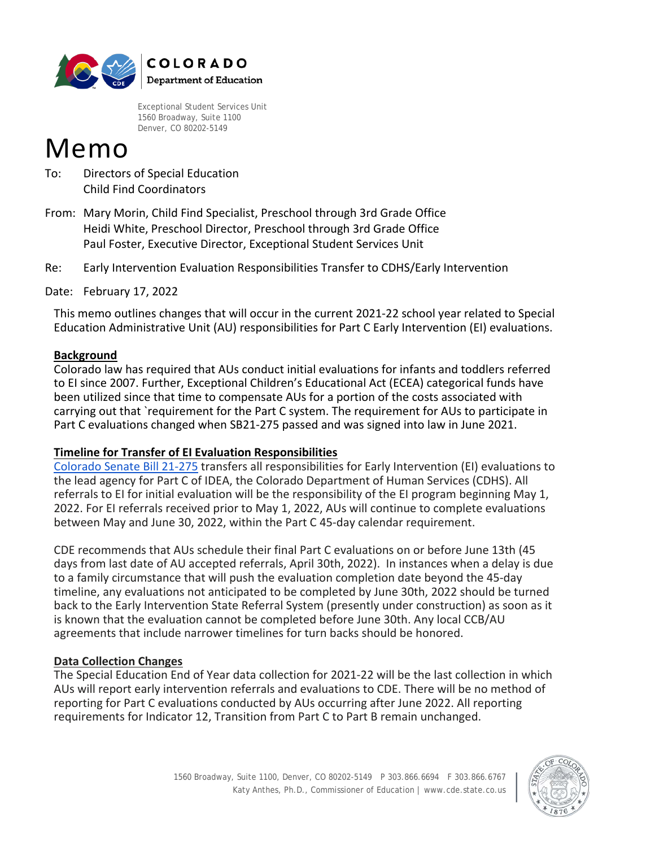

Exceptional Student Services Unit 1560 Broadway, Suite 1100 Denver, CO 80202-5149

# Memo

- To: Directors of Special Education Child Find Coordinators
- From: Mary Morin, Child Find Specialist, Preschool through 3rd Grade Office Heidi White, Preschool Director, Preschool through 3rd Grade Office Paul Foster, Executive Director, Exceptional Student Services Unit
- Re: Early Intervention Evaluation Responsibilities Transfer to CDHS/Early Intervention

Date: February 17, 2022

 Education Administrative Unit (AU) responsibilities for Part C Early Intervention (EI) evaluations. This memo outlines changes that will occur in the current 2021-22 school year related to Special

## **Background**

Colorado law has required that AUs conduct initial evaluations for infants and toddlers referred to EI since 2007. Further, Exceptional Children's Educational Act (ECEA) categorical funds have been utilized since that time to compensate AUs for a portion of the costs associated with carrying out that `requirement for the Part C system. The requirement for AUs to participate in Part C evaluations changed when SB21-275 passed and was signed into law in June 2021.

### **Timeline for Transfer of EI Evaluation Responsibilities**

[Colorado Senate Bill 21-275](https://leg.colorado.gov/sites/default/files/2021a_275_signed.pdf) transfers all responsibilities for Early Intervention (EI) evaluations to the lead agency for Part C of IDEA, the Colorado Department of Human Services (CDHS). All referrals to EI for initial evaluation will be the responsibility of the EI program beginning May 1, 2022. For EI referrals received prior to May 1, 2022, AUs will continue to complete evaluations between May and June 30, 2022, within the Part C 45-day calendar requirement.

CDE recommends that AUs schedule their final Part C evaluations on or before June 13th (45 days from last date of AU accepted referrals, April 30th, 2022). In instances when a delay is due to a family circumstance that will push the evaluation completion date beyond the 45-day timeline, any evaluations not anticipated to be completed by June 30th, 2022 should be turned back to the Early Intervention State Referral System (presently under construction) as soon as it is known that the evaluation cannot be completed before June 30th. Any local CCB/AU agreements that include narrower timelines for turn backs should be honored.

## **Data Collection Changes**

The Special Education End of Year data collection for 2021-22 will be the last collection in which AUs will report early intervention referrals and evaluations to CDE. There will be no method of reporting for Part C evaluations conducted by AUs occurring after June 2022. All reporting requirements for Indicator 12, Transition from Part C to Part B remain unchanged.

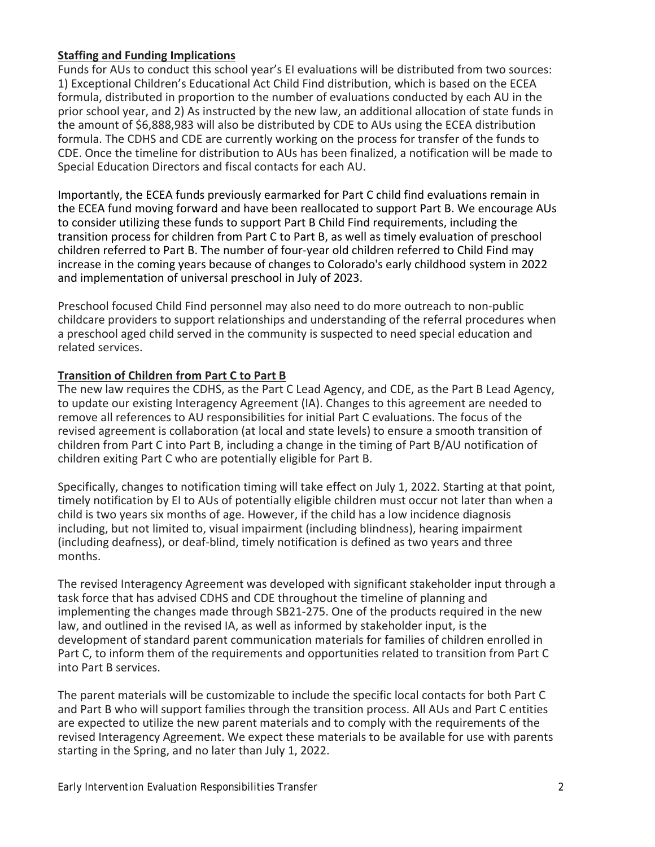### **Staffing and Funding Implications**

Funds for AUs to conduct this school year's EI evaluations will be distributed from two sources: 1) Exceptional Children's Educational Act Child Find distribution, which is based on the ECEA formula, distributed in proportion to the number of evaluations conducted by each AU in the prior school year, and 2) As instructed by the new law, an additional allocation of state funds in the amount of \$6,888,983 will also be distributed by CDE to AUs using the ECEA distribution formula. The CDHS and CDE are currently working on the process for transfer of the funds to CDE. Once the timeline for distribution to AUs has been finalized, a notification will be made to Special Education Directors and fiscal contacts for each AU.

Importantly, the ECEA funds previously earmarked for Part C child find evaluations remain in the ECEA fund moving forward and have been reallocated to support Part B. We encourage AUs to consider utilizing these funds to support Part B Child Find requirements, including the transition process for children from Part C to Part B, as well as timely evaluation of preschool children referred to Part B. The number of four-year old children referred to Child Find may increase in the coming years because of changes to Colorado's early childhood system in 2022 and implementation of universal preschool in July of 2023.

Preschool focused Child Find personnel may also need to do more outreach to non-public childcare providers to support relationships and understanding of the referral procedures when a preschool aged child served in the community is suspected to need special education and related services.

## **Transition of Children from Part C to Part B**

The new law requires the CDHS, as the Part C Lead Agency, and CDE, as the Part B Lead Agency, to update our existing Interagency Agreement (IA). Changes to this agreement are needed to remove all references to AU responsibilities for initial Part C evaluations. The focus of the revised agreement is collaboration (at local and state levels) to ensure a smooth transition of children from Part C into Part B, including a change in the timing of Part B/AU notification of children exiting Part C who are potentially eligible for Part B.

Specifically, changes to notification timing will take effect on July 1, 2022. Starting at that point, timely notification by EI to AUs of potentially eligible children must occur not later than when a child is two years six months of age. However, if the child has a low incidence diagnosis including, but not limited to, visual impairment (including blindness), hearing impairment (including deafness), or deaf-blind, timely notification is defined as two years and three months.

The revised Interagency Agreement was developed with significant stakeholder input through a task force that has advised CDHS and CDE throughout the timeline of planning and implementing the changes made through SB21-275. One of the products required in the new law, and outlined in the revised IA, as well as informed by stakeholder input, is the development of standard parent communication materials for families of children enrolled in Part C, to inform them of the requirements and opportunities related to transition from Part C into Part B services.

The parent materials will be customizable to include the specific local contacts for both Part C and Part B who will support families through the transition process. All AUs and Part C entities are expected to utilize the new parent materials and to comply with the requirements of the revised Interagency Agreement. We expect these materials to be available for use with parents starting in the Spring, and no later than July 1, 2022.